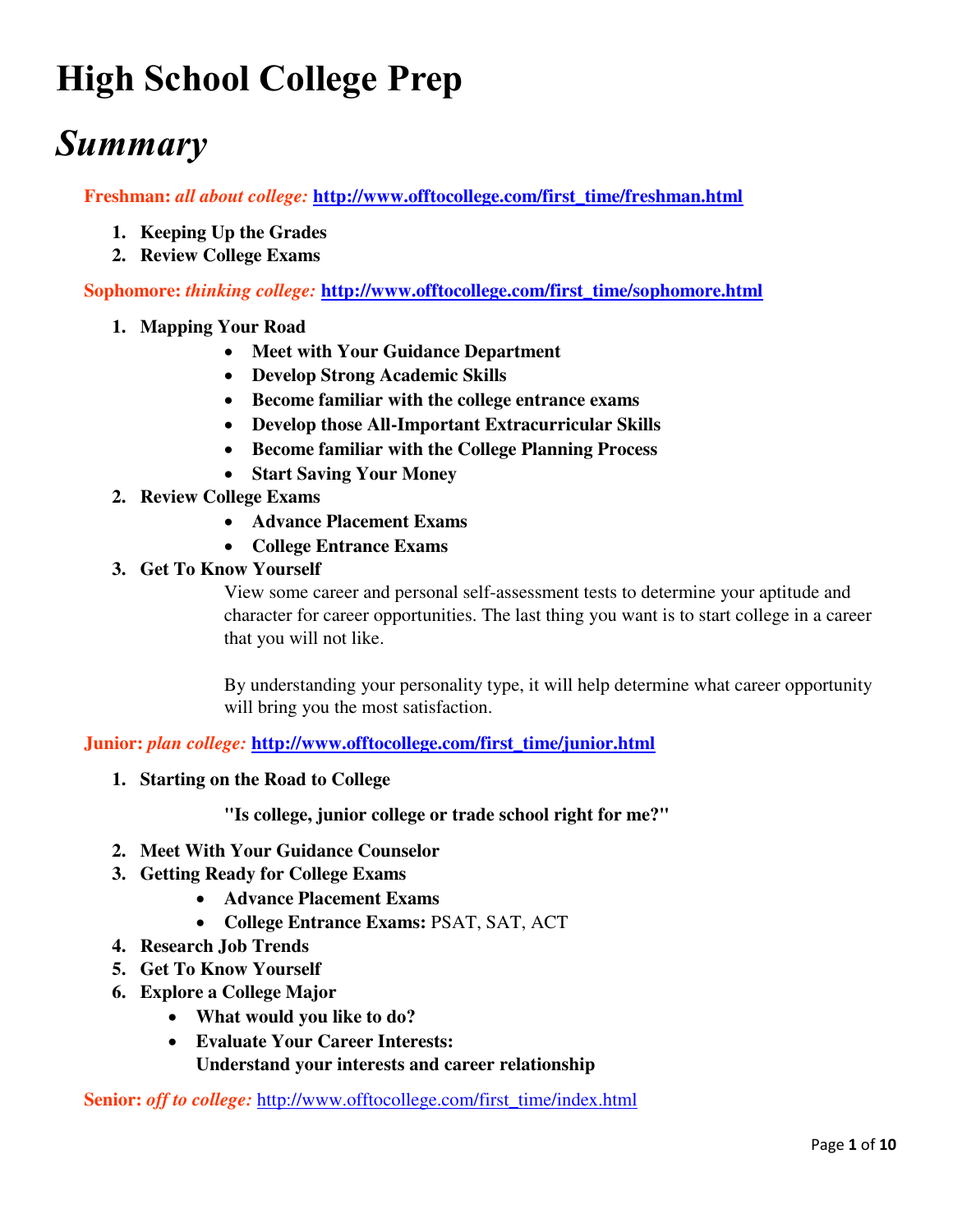# **High School College Prep**

## *Summary*

**Freshman:** *all about college:* **[http://www.offtocollege.com/first\\_time/freshman.html](http://www.offtocollege.com/first_time/freshman.html)**

- **1. Keeping Up the Grades**
- **2. Review College Exams**

**Sophomore:** *thinking college:* **[http://www.offtocollege.com/first\\_time/sophomore.html](http://www.offtocollege.com/first_time/sophomore.html)**

- **1. Mapping Your Road** 
	- **Meet with Your Guidance Department**
	- **Develop Strong Academic Skills**
	- **Become familiar with the college entrance exams**
	- **Develop those All-Important Extracurricular Skills**
	- **Become familiar with the College Planning Process**
	- **Start Saving Your Money**
- **2. Review College Exams** 
	- **Advance Placement Exams**
	- **College Entrance Exams**
- **3. Get To Know Yourself**

View some career and personal self-assessment tests to determine your aptitude and character for career opportunities. The last thing you want is to start college in a career that you will not like.

By understanding your personality type, it will help determine what career opportunity will bring you the most satisfaction.

**Junior:** *plan college:* **[http://www.offtocollege.com/first\\_time/junior.html](http://www.offtocollege.com/first_time/junior.html)**

**1. Starting on the Road to College** 

**"Is college, junior college or trade school right for me?"** 

- **2. Meet With Your Guidance Counselor**
- **3. Getting Ready for College Exams** 
	- **Advance Placement Exams**
	- **College Entrance Exams:** PSAT, SAT, ACT
- **4. Research Job Trends**
- **5. Get To Know Yourself**
- **6. Explore a College Major** 
	- **What would you like to do?**
	- **Evaluate Your Career Interests: Understand your interests and career relationship**

**Senior:** *off to college:* [http://www.offtocollege.com/first\\_time/index.html](http://www.offtocollege.com/first_time/index.html)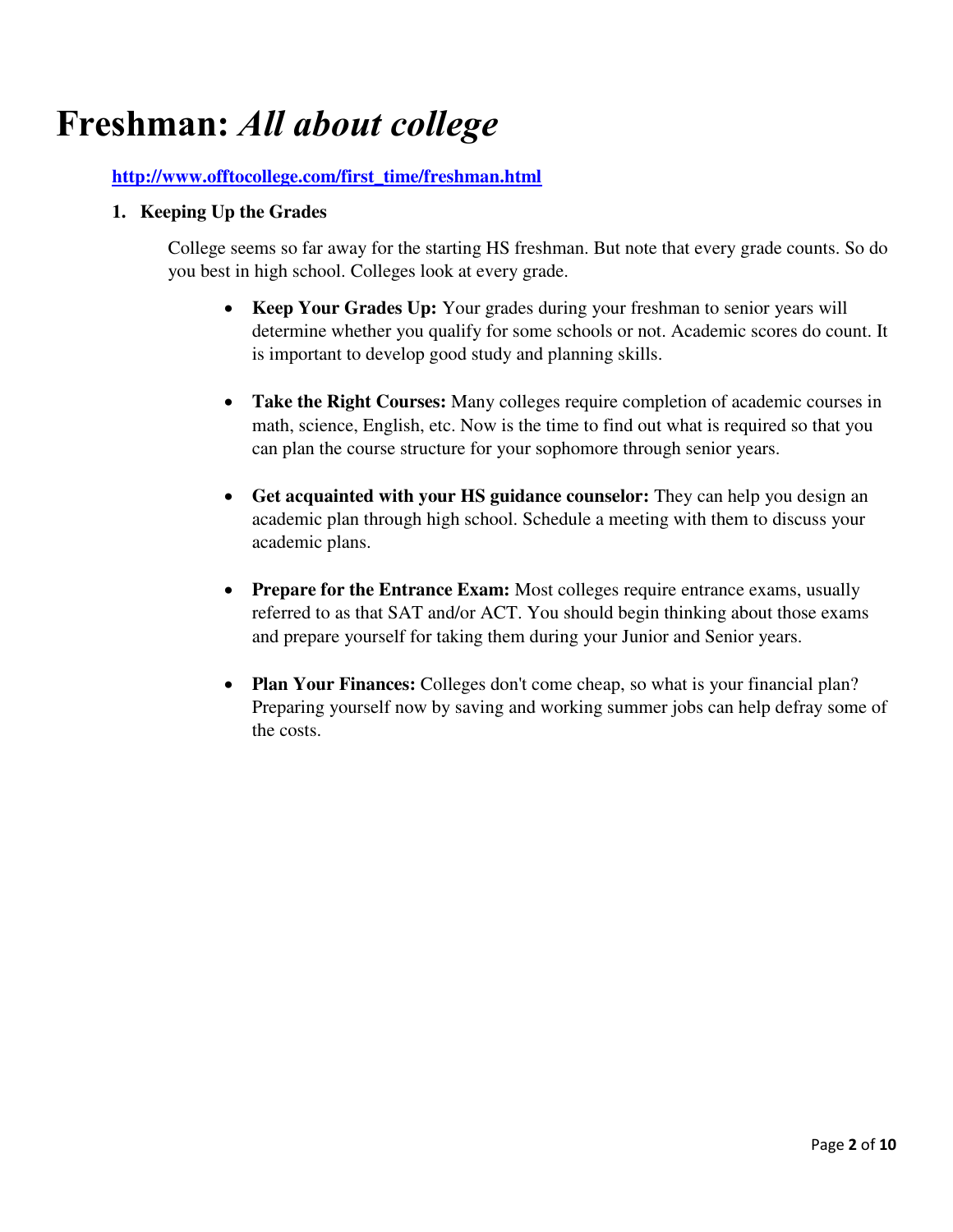## **Freshman:** *All about college*

## **[http://www.offtocollege.com/first\\_time/freshman.html](http://www.offtocollege.com/first_time/freshman.html)**

### **1. Keeping Up the Grades**

College seems so far away for the starting HS freshman. But note that every grade counts. So do you best in high school. Colleges look at every grade.

- **Keep Your Grades Up:** Your grades during your freshman to senior years will determine whether you qualify for some schools or not. Academic scores do count. It is important to develop good study and planning skills.
- **Take the Right Courses:** Many colleges require completion of academic courses in math, science, English, etc. Now is the time to find out what is required so that you can plan the course structure for your sophomore through senior years.
- **Get acquainted with your HS guidance counselor:** They can help you design an academic plan through high school. Schedule a meeting with them to discuss your academic plans.
- Prepare for the Entrance Exam: Most colleges require entrance exams, usually referred to as that SAT and/or ACT. You should begin thinking about those exams and prepare yourself for taking them during your Junior and Senior years.
- **Plan Your Finances:** Colleges don't come cheap, so what is your financial plan? Preparing yourself now by saving and working summer jobs can help defray some of the costs.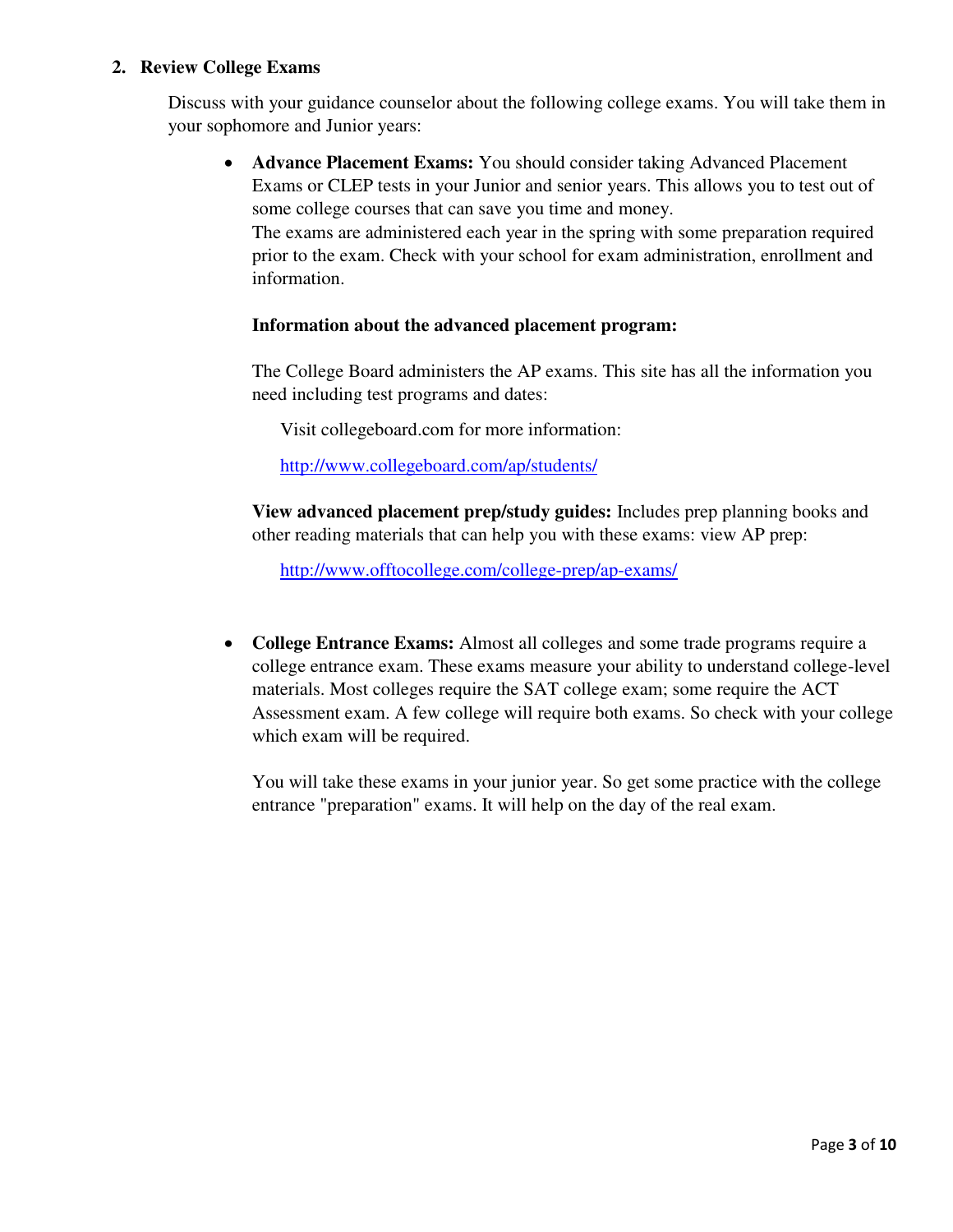### **2. Review College Exams**

Discuss with your guidance counselor about the following college exams. You will take them in your sophomore and Junior years:

 **Advance Placement Exams:** You should consider taking Advanced Placement Exams or CLEP tests in your Junior and senior years. This allows you to test out of some college courses that can save you time and money.

The exams are administered each year in the spring with some preparation required prior to the exam. Check with your school for exam administration, enrollment and information.

### **Information about the advanced placement program:**

The College Board administers the AP exams. This site has all the information you need including test programs and dates:

Visit collegeboard.com for more information:

<http://www.collegeboard.com/ap/students/>

**View advanced placement prep/study guides:** Includes prep planning books and other reading materials that can help you with these exams: view AP prep:

<http://www.offtocollege.com/college-prep/ap-exams/>

 **College Entrance Exams:** Almost all colleges and some trade programs require a college entrance exam. These exams measure your ability to understand college-level materials. Most colleges require the SAT college exam; some require the ACT Assessment exam. A few college will require both exams. So check with your college which exam will be required.

You will take these exams in your junior year. So get some practice with the college entrance "preparation" exams. It will help on the day of the real exam.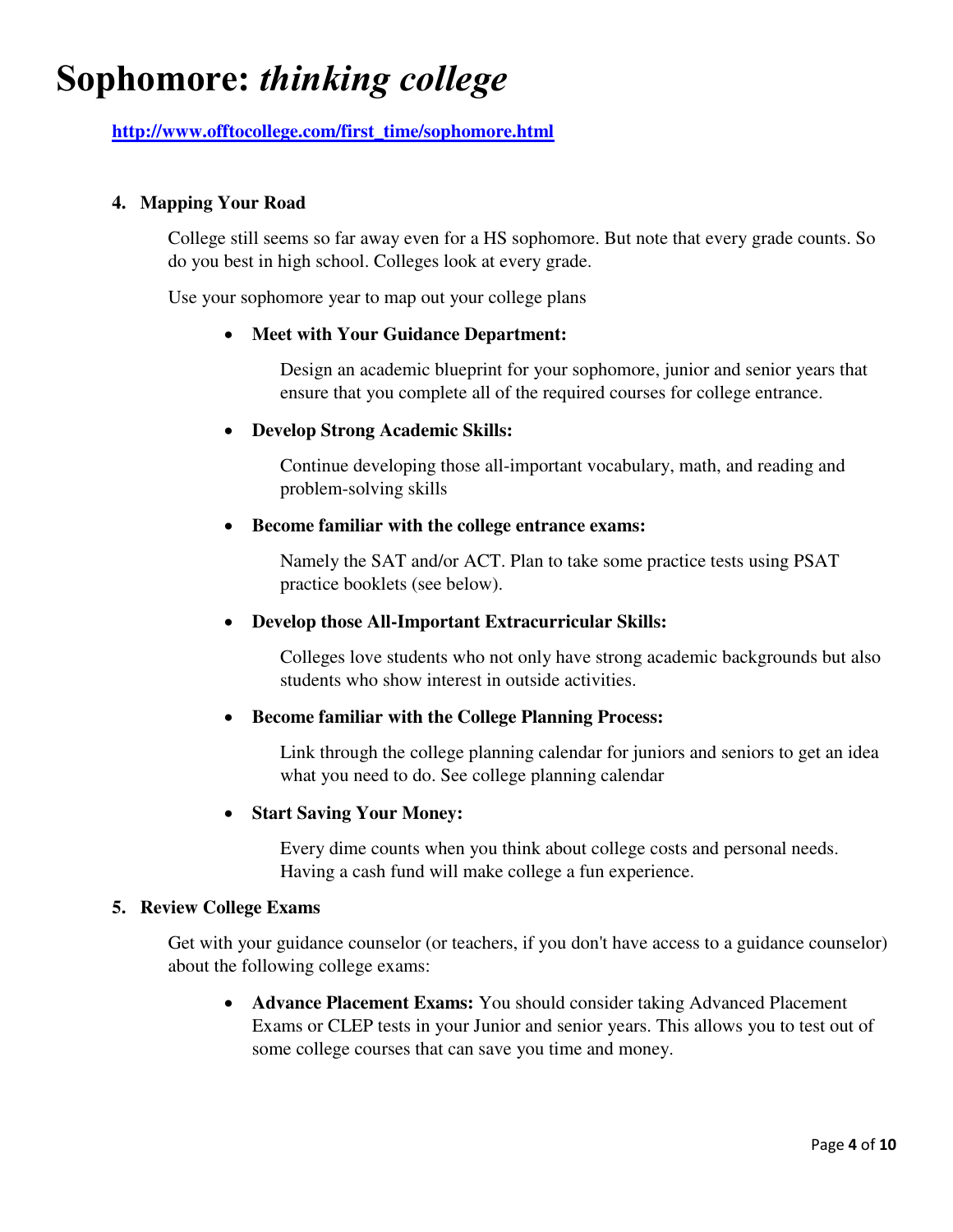## **Sophomore:** *thinking college*

**[http://www.offtocollege.com/first\\_time/sophomore.html](http://www.offtocollege.com/first_time/sophomore.html)**

### **4. Mapping Your Road**

College still seems so far away even for a HS sophomore. But note that every grade counts. So do you best in high school. Colleges look at every grade.

Use your sophomore year to map out your college plans

### **Meet with Your Guidance Department:**

Design an academic blueprint for your sophomore, junior and senior years that ensure that you complete all of the required courses for college entrance.

### **Develop Strong Academic Skills:**

Continue developing those all-important vocabulary, math, and reading and problem-solving skills

### **Become familiar with the college entrance exams:**

Namely the SAT and/or ACT. Plan to take some practice tests using PSAT practice booklets (see below).

### **Develop those All-Important Extracurricular Skills:**

Colleges love students who not only have strong academic backgrounds but also students who show interest in outside activities.

### **Become familiar with the College Planning Process:**

Link through the college planning calendar for juniors and seniors to get an idea what you need to do. See college planning calendar

### **Start Saving Your Money:**

Every dime counts when you think about college costs and personal needs. Having a cash fund will make college a fun experience.

#### **5. Review College Exams**

Get with your guidance counselor (or teachers, if you don't have access to a guidance counselor) about the following college exams:

 **Advance Placement Exams:** You should consider taking Advanced Placement Exams or CLEP tests in your Junior and senior years. This allows you to test out of some college courses that can save you time and money.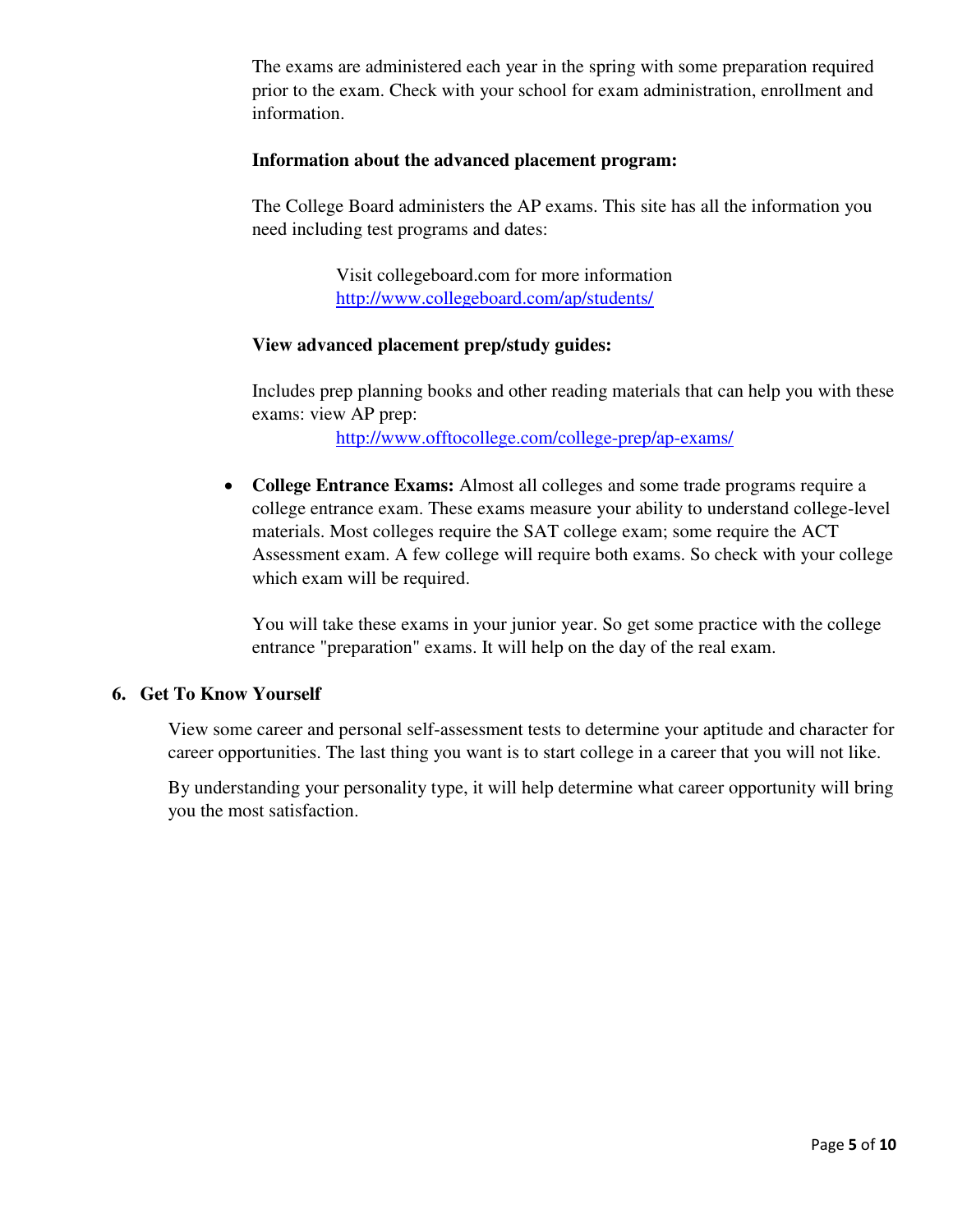The exams are administered each year in the spring with some preparation required prior to the exam. Check with your school for exam administration, enrollment and information.

### **Information about the advanced placement program:**

The College Board administers the AP exams. This site has all the information you need including test programs and dates:

> Visit collegeboard.com for more information <http://www.collegeboard.com/ap/students/>

### **View advanced placement prep/study guides:**

Includes prep planning books and other reading materials that can help you with these exams: view AP prep:

<http://www.offtocollege.com/college-prep/ap-exams/>

 **College Entrance Exams:** Almost all colleges and some trade programs require a college entrance exam. These exams measure your ability to understand college-level materials. Most colleges require the SAT college exam; some require the ACT Assessment exam. A few college will require both exams. So check with your college which exam will be required.

You will take these exams in your junior year. So get some practice with the college entrance "preparation" exams. It will help on the day of the real exam.

### **6. Get To Know Yourself**

View some career and personal self-assessment tests to determine your aptitude and character for career opportunities. The last thing you want is to start college in a career that you will not like.

By understanding your personality type, it will help determine what career opportunity will bring you the most satisfaction.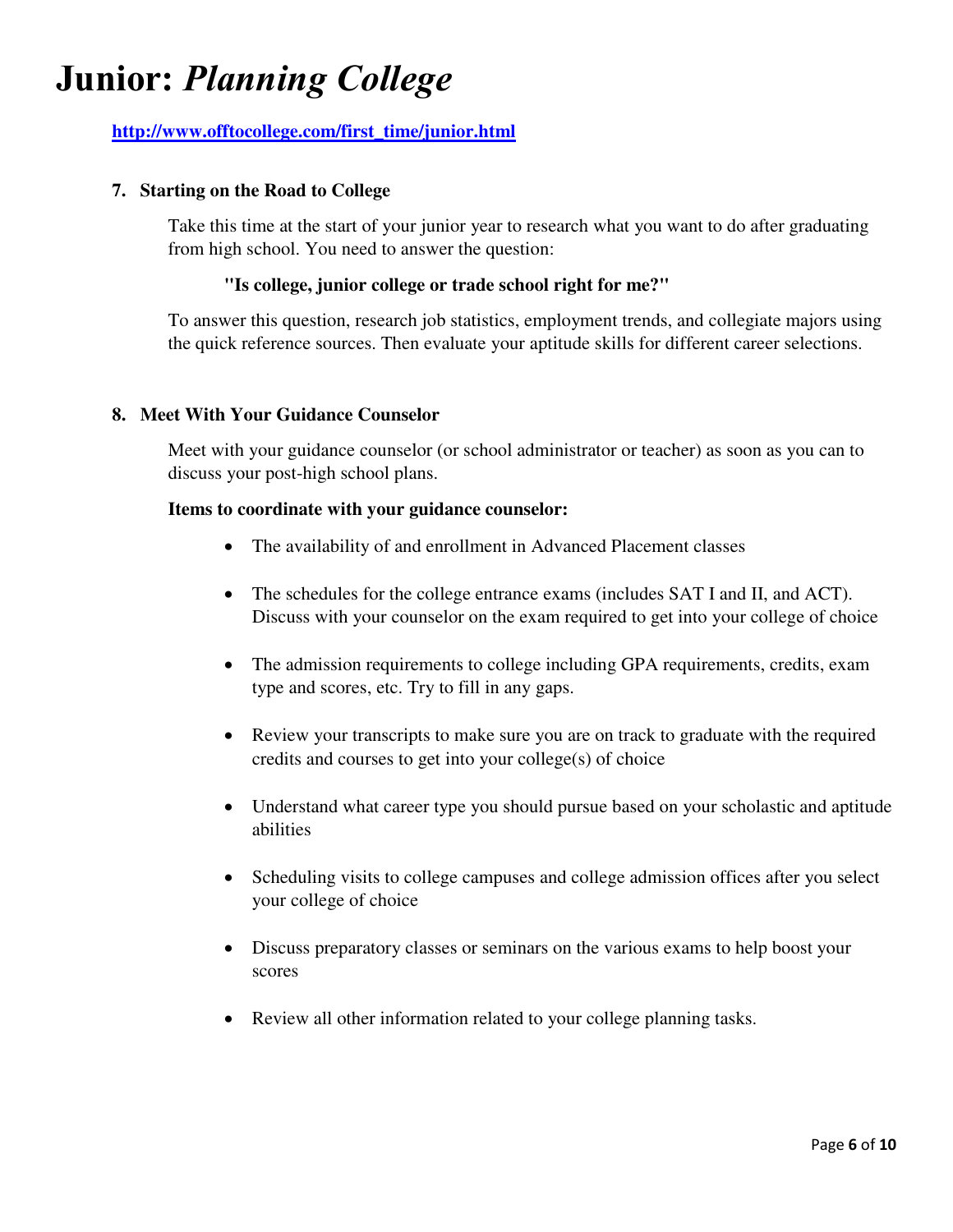## **Junior:** *Planning College*

## **[http://www.offtocollege.com/first\\_time/junior.html](http://www.offtocollege.com/first_time/junior.html)**

### **7. Starting on the Road to College**

Take this time at the start of your junior year to research what you want to do after graduating from high school. You need to answer the question:

### **"Is college, junior college or trade school right for me?"**

To answer this question, research job statistics, employment trends, and collegiate majors using the quick reference sources. Then evaluate your aptitude skills for different career selections.

### **8. Meet With Your Guidance Counselor**

Meet with your guidance counselor (or school administrator or teacher) as soon as you can to discuss your post-high school plans.

### **Items to coordinate with your guidance counselor:**

- The availability of and enrollment in Advanced Placement classes
- The schedules for the college entrance exams (includes SAT I and II, and ACT). Discuss with your counselor on the exam required to get into your college of choice
- The admission requirements to college including GPA requirements, credits, exam type and scores, etc. Try to fill in any gaps.
- Review your transcripts to make sure you are on track to graduate with the required credits and courses to get into your college(s) of choice
- Understand what career type you should pursue based on your scholastic and aptitude abilities
- Scheduling visits to college campuses and college admission offices after you select your college of choice
- Discuss preparatory classes or seminars on the various exams to help boost your scores
- Review all other information related to your college planning tasks.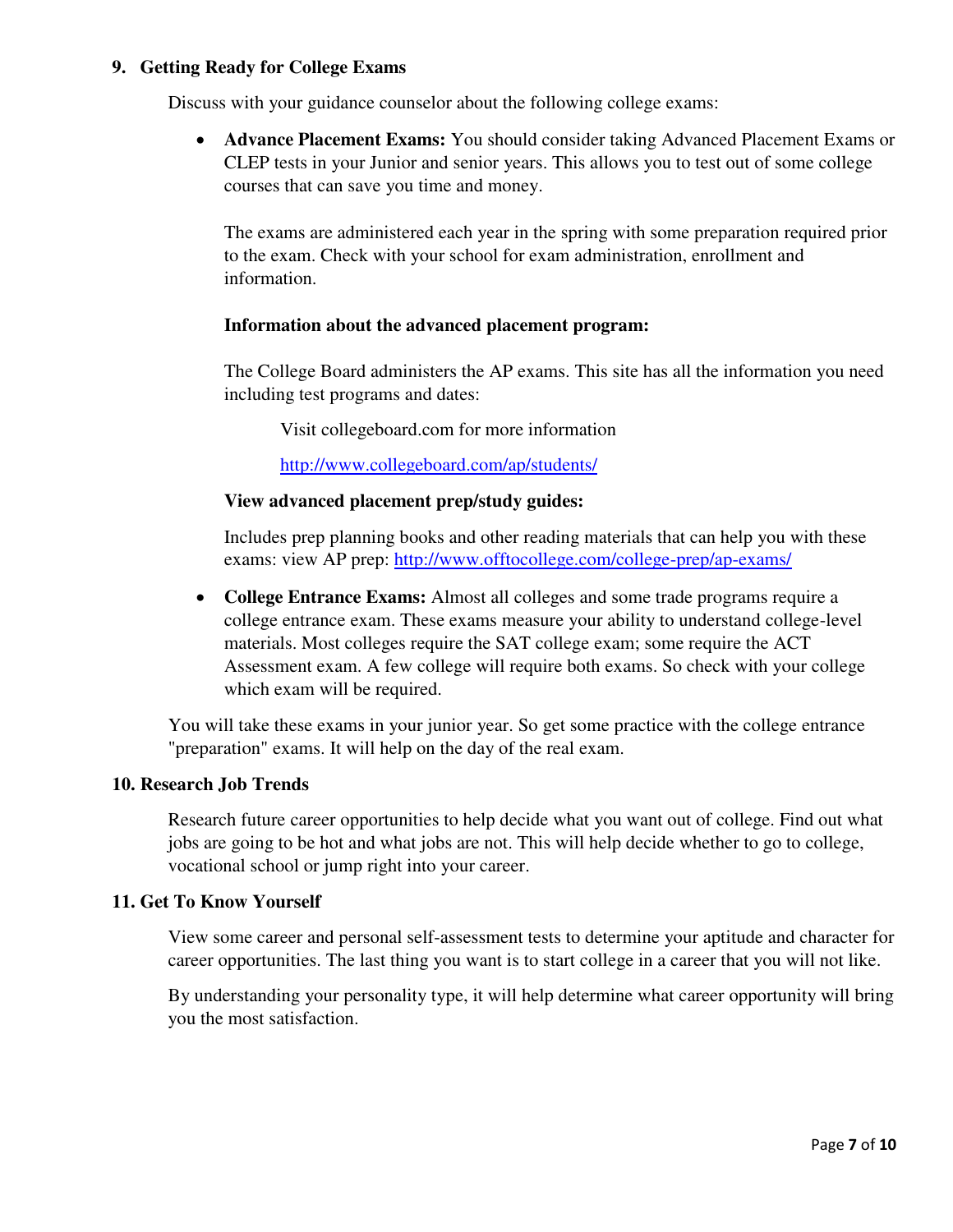### **9. Getting Ready for College Exams**

Discuss with your guidance counselor about the following college exams:

 **Advance Placement Exams:** You should consider taking Advanced Placement Exams or CLEP tests in your Junior and senior years. This allows you to test out of some college courses that can save you time and money.

The exams are administered each year in the spring with some preparation required prior to the exam. Check with your school for exam administration, enrollment and information.

### **Information about the advanced placement program:**

The College Board administers the AP exams. This site has all the information you need including test programs and dates:

Visit collegeboard.com for more information

<http://www.collegeboard.com/ap/students/>

### **View advanced placement prep/study guides:**

Includes prep planning books and other reading materials that can help you with these exams: view AP prep:<http://www.offtocollege.com/college-prep/ap-exams/>

 **College Entrance Exams:** Almost all colleges and some trade programs require a college entrance exam. These exams measure your ability to understand college-level materials. Most colleges require the SAT college exam; some require the ACT Assessment exam. A few college will require both exams. So check with your college which exam will be required.

You will take these exams in your junior year. So get some practice with the college entrance "preparation" exams. It will help on the day of the real exam.

#### **10. Research Job Trends**

Research future career opportunities to help decide what you want out of college. Find out what jobs are going to be hot and what jobs are not. This will help decide whether to go to college, vocational school or jump right into your career.

#### **11. Get To Know Yourself**

View some career and personal self-assessment tests to determine your aptitude and character for career opportunities. The last thing you want is to start college in a career that you will not like.

By understanding your personality type, it will help determine what career opportunity will bring you the most satisfaction.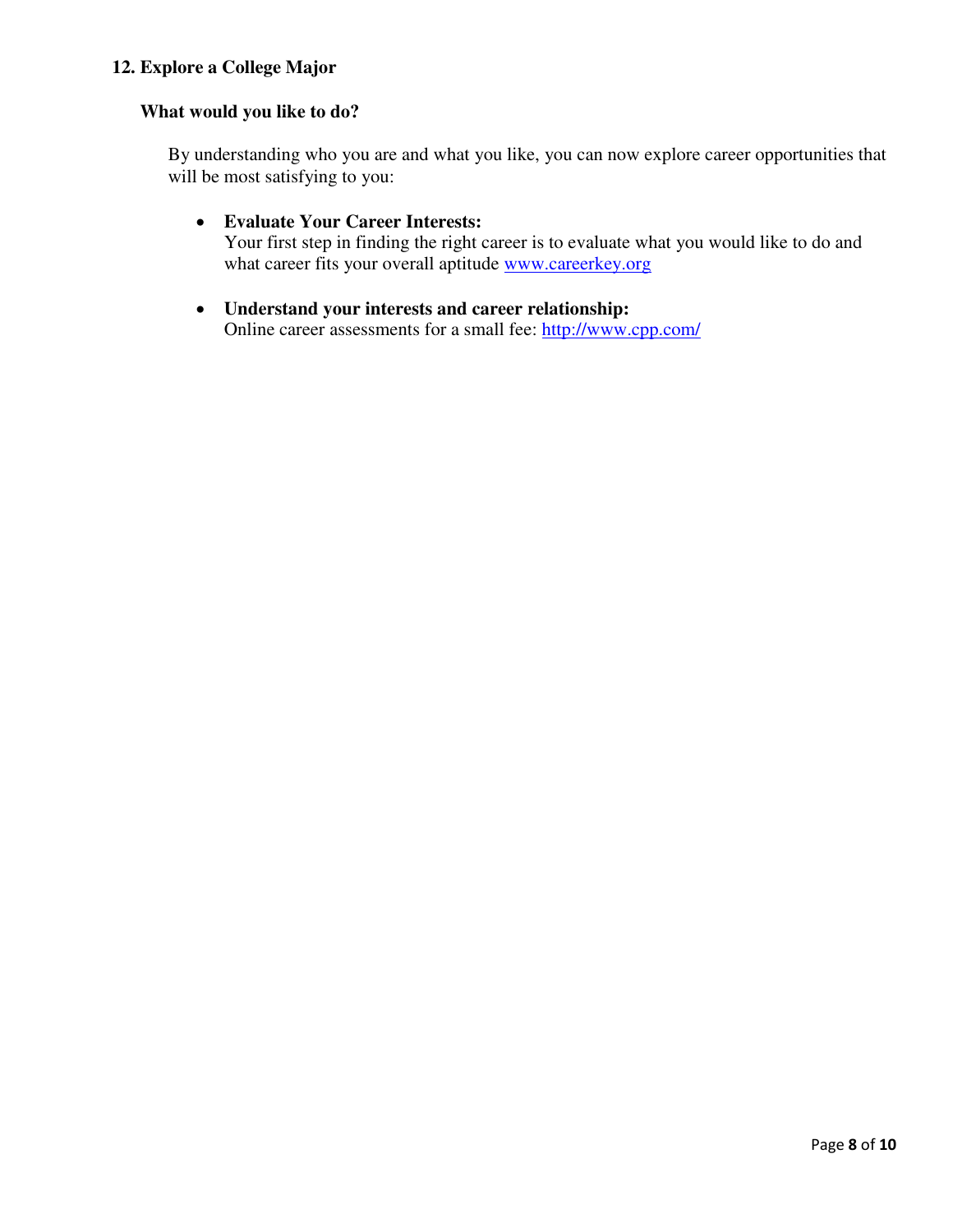## **12. Explore a College Major**

### **What would you like to do?**

By understanding who you are and what you like, you can now explore career opportunities that will be most satisfying to you:

### **Evaluate Your Career Interests:**

Your first step in finding the right career is to evaluate what you would like to do and what career fits your overall aptitude [www.careerkey.org](http://www.careerkey.org/)

### **Understand your interests and career relationship:**

Online career assessments for a small fee:<http://www.cpp.com/>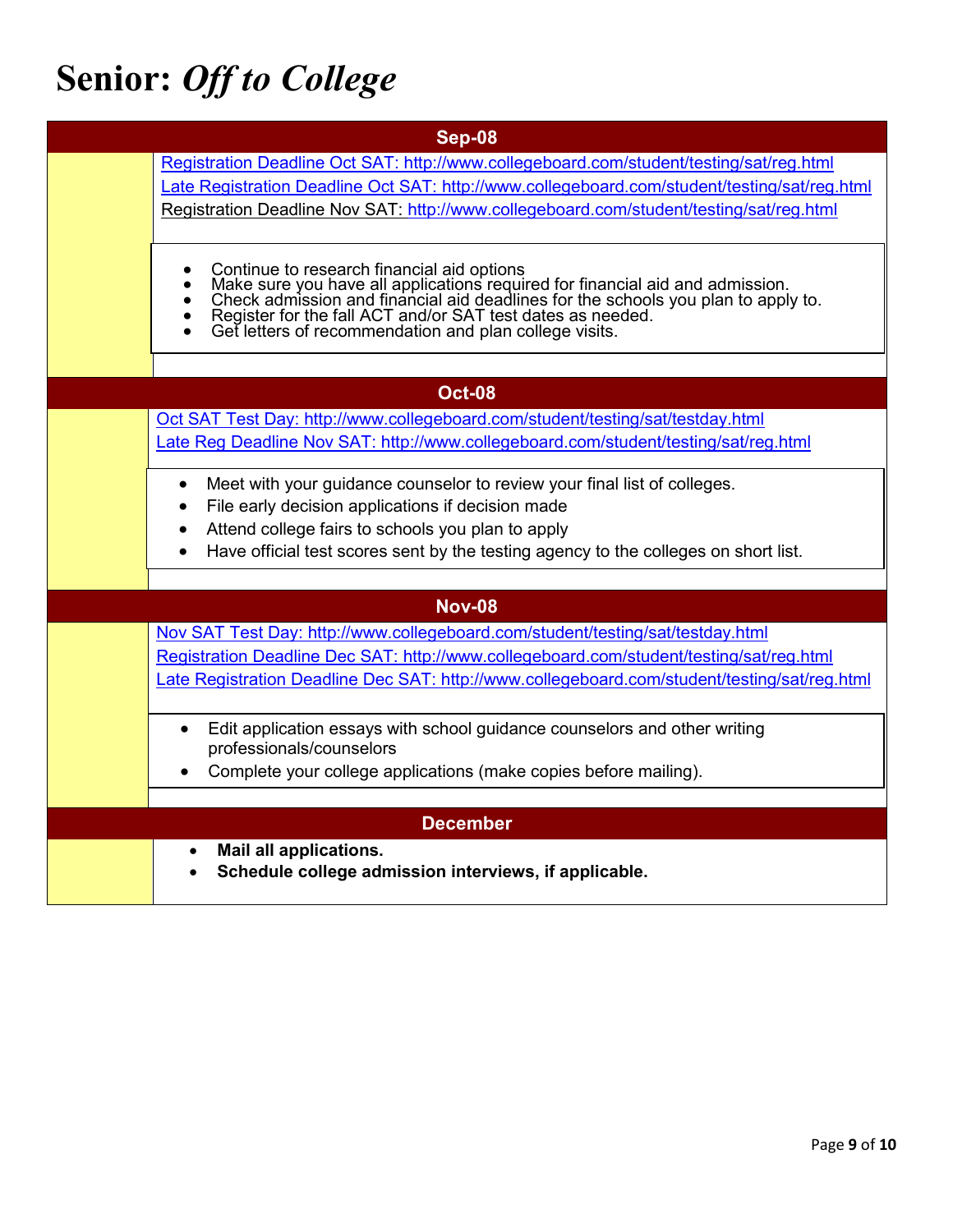# **Senior:** *Off to College*

| Sep-08          |                                                                                                                                                                                                                                         |  |
|-----------------|-----------------------------------------------------------------------------------------------------------------------------------------------------------------------------------------------------------------------------------------|--|
|                 | Registration Deadline Oct SAT: http://www.collegeboard.com/student/testing/sat/reg.html                                                                                                                                                 |  |
|                 | Late Registration Deadline Oct SAT: http://www.collegeboard.com/student/testing/sat/reg.html                                                                                                                                            |  |
|                 | Registration Deadline Nov SAT: http://www.collegeboard.com/student/testing/sat/reg.html                                                                                                                                                 |  |
|                 |                                                                                                                                                                                                                                         |  |
|                 | Continue to research financial aid options<br>Make sure you have all applications required for financial aid and admission.<br>Check admission and financial aid deadlines for the schools you plan to apply to.<br>Register for the fa |  |
|                 |                                                                                                                                                                                                                                         |  |
|                 |                                                                                                                                                                                                                                         |  |
|                 |                                                                                                                                                                                                                                         |  |
|                 |                                                                                                                                                                                                                                         |  |
|                 | <b>Oct-08</b>                                                                                                                                                                                                                           |  |
|                 | Oct SAT Test Day: http://www.collegeboard.com/student/testing/sat/testday.html                                                                                                                                                          |  |
|                 | Late Reg Deadline Nov SAT: http://www.collegeboard.com/student/testing/sat/reg.html                                                                                                                                                     |  |
|                 | Meet with your guidance counselor to review your final list of colleges.<br>$\bullet$                                                                                                                                                   |  |
|                 | File early decision applications if decision made                                                                                                                                                                                       |  |
|                 | Attend college fairs to schools you plan to apply                                                                                                                                                                                       |  |
|                 | Have official test scores sent by the testing agency to the colleges on short list.                                                                                                                                                     |  |
|                 |                                                                                                                                                                                                                                         |  |
|                 | <b>Nov-08</b>                                                                                                                                                                                                                           |  |
|                 | Nov SAT Test Day: http://www.collegeboard.com/student/testing/sat/testday.html                                                                                                                                                          |  |
|                 | Registration Deadline Dec SAT: http://www.collegeboard.com/student/testing/sat/reg.html                                                                                                                                                 |  |
|                 | Late Registration Deadline Dec SAT: http://www.collegeboard.com/student/testing/sat/reg.html                                                                                                                                            |  |
|                 | Edit application essays with school guidance counselors and other writing                                                                                                                                                               |  |
|                 | professionals/counselors                                                                                                                                                                                                                |  |
|                 | Complete your college applications (make copies before mailing).                                                                                                                                                                        |  |
|                 |                                                                                                                                                                                                                                         |  |
| <b>December</b> |                                                                                                                                                                                                                                         |  |
|                 | Mail all applications.<br>$\bullet$                                                                                                                                                                                                     |  |
|                 | Schedule college admission interviews, if applicable.                                                                                                                                                                                   |  |
|                 |                                                                                                                                                                                                                                         |  |